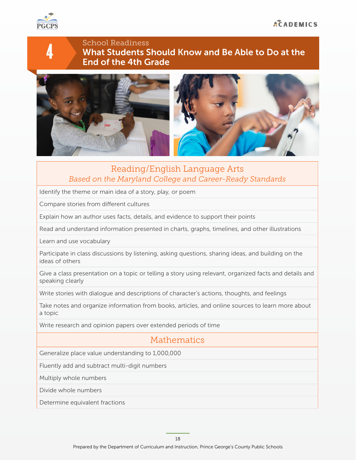

4

#### School Readiness What Students Should Know and Be Able to Do at the End of the 4th Grade



### Reading/English Language Arts *Based on the Maryland College and Career-Ready Standards*

Identify the theme or main idea of a story, play, or poem

Compare stories from diferent cultures

Explain how an author uses facts, details, and evidence to support their points

Read and understand information presented in charts, graphs, timelines, and other illustrations

Learn and use vocabulary

Participate in class discussions by listening, asking questions, sharing ideas, and building on the ideas of others

Give a class presentation on a topic or telling a story using relevant, organized facts and details and speaking clearly

Write stories with dialogue and descriptions of character's actions, thoughts, and feelings

Take notes and organize information from books, articles, and online sources to learn more about a topic

Write research and opinion papers over extended periods of time

# Mathematics

Generalize place value understanding to 1,000,000

Fluently add and subtract multi-digit numbers

Multiply whole numbers

Divide whole numbers

Determine equivalent fractions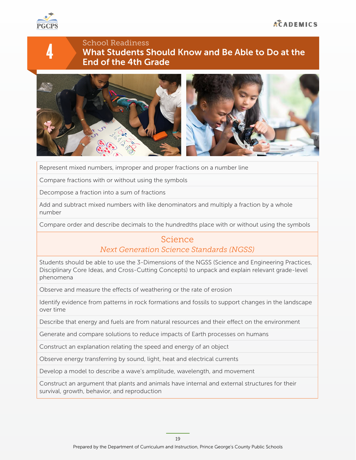

4

## School Readiness What Students Should Know and Be Able to Do at the End of the 4th Grade



Represent mixed numbers, improper and proper fractions on a number line

Compare fractions with or without using the symbols

Decompose a fraction into a sum of fractions

Add and subtract mixed numbers with like denominators and multiply a fraction by a whole number

Compare order and describe decimals to the hundredths place with or without using the symbols

#### Science *Next Generation Science Standards (NGSS)*

Students should be able to use the 3-Dimensions of the NGSS (Science and Engineering Practices, Disciplinary Core Ideas, and Cross-Cutting Concepts) to unpack and explain relevant grade-level phenomena

Observe and measure the efects of weathering or the rate of erosion

Identify evidence from patterns in rock formations and fossils to support changes in the landscape over time

Describe that energy and fuels are from natural resources and their effect on the environment

Generate and compare solutions to reduce impacts of Earth processes on humans

Construct an explanation relating the speed and energy of an object

Observe energy transferring by sound, light, heat and electrical currents

Develop a model to describe a wave's amplitude, wavelength, and movement

Construct an argument that plants and animals have internal and external structures for their survival, growth, behavior, and reproduction